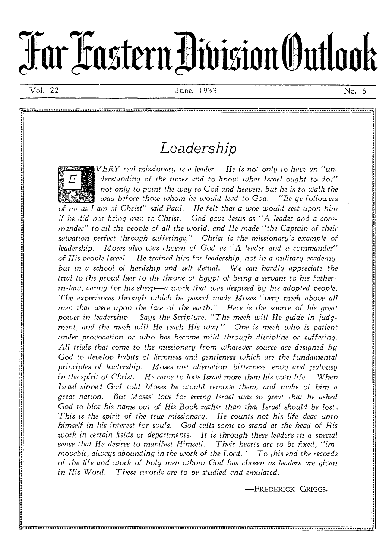# **Tarl.zasternivisionOuttook**

## *Leadership*



*VERY real missionary is a leader. He is not only to have an "understanding of the times and to know what Israel ought to do;" not* only *to point the way to* God *and heaven, but he is to walk the way before those whom he would lead to God: "Be ye followers of me as I am of Christ" said Paul. He felt that a woe would rest* upon *him. if* he did not *bring men* to *Christ. God gave Jesus as "A leader and a commander" to all the people of all the world, and He made "the Captain of their*  salvation perfect through sufferings." Christ is the missionary's example of *leadership. Moses also was chosen of* God *as "A leader and a commander" of His people Israel. He trained him for leadership, not in a military academy, but in a school of hardship and self denial. We can hardly appreciate the trial to the proud heir to the throne of Egypt of being a servant to his fatherin-law, caring for his sheep—a work that was despised by his adopted people. The experiences through which he passed made Moses "very meek above all men that were upon the face of the earth." Here is the source of his great power in leadership. Says the Scripture, "The meek will He guide in judgment, and the meek will He teach His way." One is meek who is patient under provocation* or *who has become mild through discipline or suffering. All trials that come to the missionary from whatever source are designed by.*  God to develop habits of firmness and gentleness which are the fundamental *principles of leadership. Moses met alienation, bitterness, envy and jealousy in the spirit of Christ. He came to love Israel more than his own life. When Israel sinned* God *told Moses he would remove them, and make of him a great nation. But Moses' love for erring Israel was so great that he asked God to blot his name out of His Book rather than that Israel should be lost., This is the spirit of the true missionary. He counts not his life dear unto himself in his interest for souls. God calls some to stand at the head of His work in certain fields* or *departments. It is through these leaders in a special*  sense that He desires to manifest Himself. *movable, always abounding in the work of the Lord." To this end the records of the life and work of holy men whom* God *has chosen as leaders are given in His Word. These records are to be studied and emulated.* 

-FREDERICK GRIGGS.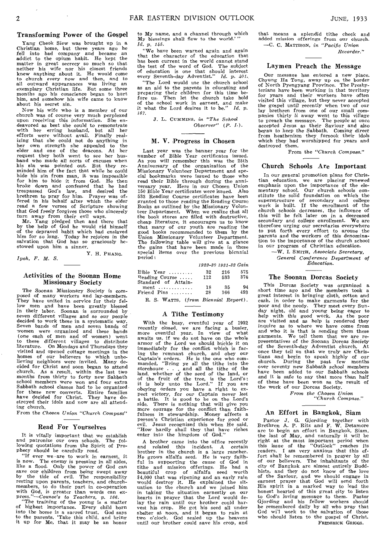### Transforming Power of the Gospel

Yang Cheok Slew was brought up in a Christian home, but three years ago he fell into bad company and became an addict to the opium habit. He kept the matter in great secrecy so much so that neither his wife nor his closest friends knew anything about it. He would come to church every now and then, and to all outward appearances was living an exemplary Christian life. But some three months ago his conscience began to hurt him, and somehow his wife came to know about his secret sin.

Now his wife who is a member of our church was of course very much perplexed upon receiving this information. She en-deavored as best she could to remonstrate with her erring husband, but all her efforts were without avail. Finally real-<br>izing that she could not do anything in her own strength she appealed to the elder and one of the deacons. At her request they both went to see her hus-<br>band who made all sorts of excuses when his sin was pointed out. But they re-minded him of the fact that while he could hide his sin from man, it was impossible for him to hide it from God. He then broke down and confessed that he had trespassed God's law, and desired the brethren to pray for him. Prayer was of-fered in his behalf after which the elder read a few verses of Scripture showing that God freely *forgives* those who sincerely turn away from their evil ways.

Mr. Yang pledged then and there that by the help of God he would rid himself of the depraved habit which had enslaved him for so long. Today he *rejoices* in the salvation that God has so graciously bestowed upon him a sinner.

Y. H. PHANG.

*Ipoh, F. M. S.* 

### Activities of the Soonan Home Missionary Society

The Soonan Missionary Society is composed of many workers and lay-members. They have united in service for their fellow men and have been greatly blessed in their labor. Soonan is surrounded by seven different villages and so *our* people decided to work these in a systematic way. Seven bands of men and seven bands of women were organized and these bands (one each of men and of women) went to these different villages to distribute literature. On Mondays and Thursdays they visited and opened cottage meetings in the homes of our believers to which unbelieving neighbors were invited. Many decided for Christ and soon began to attend church. As a result, within the last two months from thirty to forty new Sabbath school members were won and four extra Sabbath school classes had to be organizedfor these new converts. Entire families have decided for Christ. They have destroyed their idols and now are all attending church.

From the *Chosen Union "Church Compass"* 

### Read For Yourselves

It is vitally important that we establish and patronize our own schools. The fol-lowing quotations from the Spirit of Prophecy should be carefully read.

"If ever we • are to work in earnest, it is now. The enemy is pressing in all sides, like a flood. Only the power of God can save our children from being swept away by the tide of evil. The responsibility resting upon parents, teachers, and church-members, to do their part in co-operation

with God, is greater than words can ex-<br>press."—Couras's to Teachers, p. 166.<br>"The training of the young is a matter<br>of highest importance. Every child born<br>not be home is a sacred trust. God says<br>to the home is a sacred t

to My name, and a channel through which My blessings shall flow to the world.' *Id. p. 145.* 

"We have been warned again and again that the character of the education that has been current in the world cannot stand the test of the word of God. The subject of education is one that should interest every Seventh-day Adventist." *Id. p. 401.* 

"The Lord would use the church school *as* an aid to the parents in educating and Preparing their children for this time be-fore us. Then let the church take hold of the school work in earnest, and make it what the Lord desires it to be." *Id. P-167.* 

J. L. CUMMINS, *in "The School Observer"*  $(P, I).$ 

### M. V. Progress in Chosen

Last year was the banner year for the number of Bible Year certificates issued. As you will remember this was the 25th Anniversary of the organization of the Missionary Volunteer Department and special bookmarks were issued to those who read their Bible through during the anniversary year. Here in our Chosen Union 150 Bible Year certificates were issued. Also 533 Reading Course certificates have been granted to those reading the Reading Course Books as outlined by the Missionary Volun-teer Department. When we realize that all the book stores are filled with destructive, cheap literature, it encourages us to know that many of our youth are reading the good books recommended to them by the Union Missionary Volunteer Department, The following table will give at a glance the gains that have been made in these special items over the previous biennial Period :

|                                      | 1929-30 1931-32 Gain |     |     |
|--------------------------------------|----------------------|-----|-----|
| $Bible$ Year                         | 32                   | 216 | 575 |
| Reading Course                       | 112                  | 533 | 376 |
| Standard of Attain-                  |                      |     |     |
| $ment \dots \dots \dots \dots$       | 18                   | -35 | 94  |
| $\texttt{Friend}$ $\texttt{Pins}$    | 28                   | 166 | 493 |
| R. S. WATTS, (from Biennial Report). |                      |     |     |

### A Tithe Testimony

With the busy, eventful year of 1932 recently closed, we are facing a busier, more eventful year. In view of what awaits us, if we do not have on the whole armor of the Lord we should buckle it on immediately for the conflict which is facing the remnant church, and obey our Captain's orders. He is the one who com-<br>manded, "Bring ye all the title into the<br>storehouse ... and all the title of the<br>storehouse ... and all the title of the<br>land, whether of the se obeying orders you have a right to ex-<br>pect victory, *for* our Captain never lost<br>a battle. It is good to be on the Lord's<br>side. There is nothing that will give you<br>more courage for the conflict than faithfulness in stewardship. Money affects a Person's Christian experience for good or evil. Jesus recognized this when He said, "How hardly shall they that have riches enter into the kingdom of God."

A brother came into the office recently and related this incident. A certain<br>brother in the church is a large rancher.<br>He grows alfalfa seed. He is very faith-<br>ful in supporting the cause of God in<br>title and mission offerings. He had a<br>beautiful crop of alfalfa \$4,000 that was ripening and an early rain would destroy it. He explained the sit-uation to the church and we joined him in taking the situation earnestly on our hearts in prayer that the Lord would de-<br>lay the rain until our brother could har-<br>vest his crop. He got his seed all under<br>shelter at noon, and it began to rain at two o'clock. God sealed up the heavens until our brother could save his crop, and

that means a splendid tithe check and added mission offerings from our church. —C. C. MATTISON, *in "Pacific Union Recorder."* 

### Laymen Preach the Message

Our message has entered a new place. Chyung Ha Tong, away up on the border of North Pyengyang Province. The Presby-terians have been working in that territory for years and their workers have often visited this village, but they never accepted the gospel until' recently when two of our lay brethren from one of our small companies thirty *li* away went to this village to preach the message. The people at once accepted Jesus as their Saviour and also began to keep the Sabbath, *Coming direct*  from heathenism they forsook their idols which they had worshipped for years and destroyed them.

From the *"Church Compass."* 

### Church Schools Are Important

In our general promotion plans for Christian education, we are placing renewed emphasis upon the importance of the elementary school. Our church schools con-stitute the solid foundation on which the superstructure of secondary and college work is built. If the enrollment of the church schools decreases, the influence of this will be felt later on in a decreased secondary and college enrollment. We are therefore urging our secretaries everywhere to Put forth every effort to arouse the parents and the *workers of* this denomina-tion to the importance of the church school in our program of Christian education.

—W. I. SMITH, *Associate Secretary,* 

*General Conference Department of Education.* 

### The Soonan Dorcas Society

This Dorcas Society was organized a short time ago and the members took a great interest in bringing cloth, cotton and cash, in order to make garments for the poor and the needy. They meet every Sun-<br>day night, old and young being eager to<br>help with this good work. As the poor<br>are visited and as help is rendered they<br>inquire as to where we have come from<br>and who it is that is se of the Seventh-day Adventist church. At once they tell us that we truly are Christians and begin to speak highly of our church. During the past few months over seventy new Sabbath school members have been added to our Sabb of these have been won as the result of the work of our Dorcas Society.

*From the Chosen Union "Church Compass."* 

### An Effort in Bangkok, Siam

Pastor J. G. *Gjording* together with Brethren A. P. Ritz and F. W. Detamore are to begin an effort in Bangkok, Siam, the last of May, and naturally it will be right at the most important period when this issue of the "Outlook" reaches its readers. I am very anxious that this ef-fort shall be remembered in prayer by all of our believers. The inhabitants of the city of Bangkok are almost entirely Buddhists, and they do not know of the love of the Saviour, and we should engage in earnest prayer that God will send forth His spirit in a marked way to lead the honest hearted of this great city to listen<br>to God's loving message to them. Pastor to God's loving message to them. Gjording and his fellow workers should be remembered daily by all who Pray that God wi'l work to the salvation of those who should listen to the gospel of Christ. FREDERICK GRIGGS.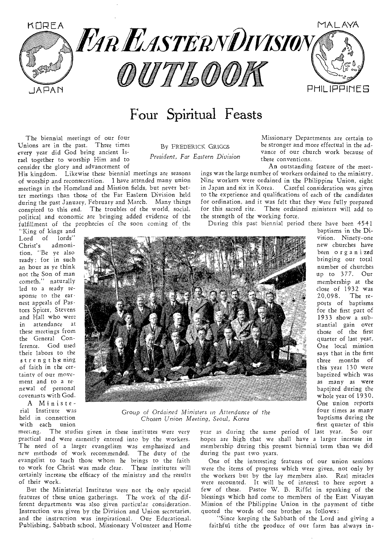

## Four Spiritual Feasts

By FREDERICK GRIGGS *President, Far Eastern Division* 

The biennial meetings of our four Unions are in the past. Three times every year did God bring ancient Israel together to worship Him and to consider the glory and advancement of

His kingdom. Likewise these biennial meetings **are** seasons of worship and reconsecration. **I** have attended many union meetings in the Homeland and Mission fields, but never better meetings than those of the Far Eastern Division held during the past January, February and March. Many things conspired to this end. The troubles of the world, social, political and economic are bringing added **evidence** of the fulfillment of the **prophecies of the soon coming of** the

Missionary Departments are certain to be stronger and more effectual in the advance of our church work because of these conventions.

An outstanding feature of the meetings was the large number of workers ordained to the ministry. Nine workers were ordained in the Philippine Union, eight in Japan and **six** in Korea. Careful consideration was given to the experience and qualifications of each of the candidates for ordination, and it was felt that they were fully prepared for this sacred rite. These ordained ministers will add to the strength of **the** working force.

**During this past biennial period there have** been 4541

"King of kings and Lord of lords" Christ's admonition, "Be ye also ready: for in such an hour as ye think not the Son of man cometh," naturally led to a ready response to the earnest appeals of **Pastors** Spicer, Stevens and Hall who **were in** attendance at these meetings from the General Conference. God used their labors to the strengthening of faith in the certainty of our movement and to a renewal of personal covenants with God.

A Ministerial Institute was held in connection with each union



**Group of** *Ordained Mini sters in Attendance* **of** *the Chosen Union Me eting, Seoul, Korea* 

meeting. The studies **given** in these institutes **were very**  practical and were **earnestly** entered into by **the workers.**  The need of a **larger** evangelism was emphasized **and new** methods of work recommended. The duty **of** the evangelist to teach those whom he brings to the **faith**  to work for Christ was made clear. These institutes will certainly increase the efficacy of the ministry and the results of their work.

But the Ministerial Institutes were not **the only** special features of these union gatherings. The **work of** the different departments was also given particular consideration. Instruction was given by the Division and Union secretaries, and the instruction was inspirational. Our Educational, Publishing, Sabbath school, Missionary Volunteer and Home-

**year as** during the same period of last year. So our **hopes** are high that we shall have a larger increase in membership during this present biennial term than we did during the past two years.

One of the interesting features of our union sessions were the items of progress which were given, not only by **the workers** but by the lay members also. Real miracles **were recounted. It** will be of interest to here report a few **of** these. Pastor W. B. Riffel in speaking of the blessings which had come to members of the East Visayan Mission of the Philippine Union in the payment of tithe quoted the words of one brother as follows:

"Since keeping the Sabbath of the Lord and giving a faithful tithe the produce of our farm has always in-

baptisms in the Division. Ninety-one new churches have been organized bringing our total number of churches up to 377. Our membership at the close of 1932 was 20,098. The reports of baptisms for the first part of 1933 show a substantial gain over those of the first quarter of last year. One local mission says that in the first three months of this year 130 were baptized which was as many as were baptized during the whole year of 1930.

One union reports four times as many baptisms during the 'first quarter of this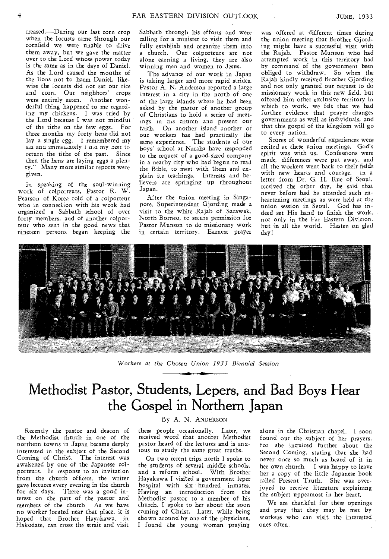creased.—During our last corn crop when the locusts came through our cornfield we were unable to drive them away, but we gave the matter over to the Lord whose power today is the same as in the days of Daniel. As the Lord caused the mouths of the lions not to harm Daniel, likewise the locusts did not eat our rice and corn. Our neighbors' crops were entirely eaten. Another wonderful thing happened to me regarding my chickens. I was tried by the Lord because I was not mindful of the tithe on the few eggs. For three months my forty hens did not lay a single egg. I remembered my sin and immediately 1 did my best to return the tithe of the past. Since then the *hens* are laying eggs a plenty." Many more similar reports were given.

In speaking of the soul-winning work of colporteurs, Pastor R. W. Pearson of Korea told of a colporteur who in connection with his work had organized a Sabbath school of over forty members, and of another colporteur who sent in the good news that nineteen persons began keeping the

Sabbath through his efforts and were calling for a minister to visit them and fully establish and organize them into a church. Our colporteurs are not alone earning a living, they are also winning men and women to Jesus.

The advance of our work in Japan is taking larger and more rapid strides. Pastor A. N. Anderson reported a large interest in a city in the north of one of the large islands where he had been asked by the pastor of another group of Christians to hold a series of meetings in his church and present our faith. On another island another of our workers has had practically the same experience. The students of our boys' school at Naraha have responded to the request of a good-sized company in a nearby city who had begun to read the Bible, to meet with them and explain its teachings. Interests and believers are springing up throughout Japan.

After the union meeting in Singapore, Superintendent Gjording made a visit to the white Rajah of Sarawak, North Borneo, to secure permission for Pastor Munson to do missionary work in certain territory. Earnest prayer was offered at different times during the union meeting that Brother Gjording might have a successful visit with the Rajah. Pastor Munson who had attempted work in this territory had by command of the government been obliged to withdraw. So when the Rajah kindly received Brother Gjording and not only granted our request to do missionary work in this new field, but offered him other exclusive territory in which to work, we felt that we had further evidence that prayer changes governments as well as individuals, and that this gospel of the kingdom will go to every nation.

Scores of wonderful experiences were recited at these union meetings. God's spirit was with us. Confessions were made, differences were put away, and all the workers went back to their fields with new hearts and courage. In a letter from Dr. G. H. Rue of Seoul. received the other day, he said that never before had be attended *such en*heartening meetings as were held at the union session in Seoul. God has indeed set His hand to finish the work, not only in the Far Eastern Division, but in all the world. Hasten on glad day!



Workers *at the Chosen Union 1933 Biennial Session* 

## Methodist Pastor, Students, Lepers, and Bad Boys Hear the Gospel in Northern Japan

Recently the pastor and deacon of the Methodist church in one of the northern towns in Japan became deeply interested in the subject of the Second Coming of Christ. The interest was awakened by one of the Japanese colporteurs. In response to an invitation from the church officers, the writer gave lectures every evening in the church for six days. There was a good interest on the part of the pastor and members of the church. As we have no worker located near that place, it is hoped that Brother Hayakawa, in Hakodate, can cross the strait and visit

### By A. N. ANDERSON

these people occasionally. Later, we received word that another Methodist pastor heard of the lectures and is anxious to study the same great truths.

On two recent trips north I spoke to the students of several middle schools. and a reform school. With Brother Hayakawa I visited a government leper hospital with six hundred inmates. Having an introduction from the Methodist pastor to a member of his church, I spoke to her about the soon coming of Christ. Later, while being shown around by one of the physicians, I found the young woman praying alone in the Christian chapel. I soon found out the subject of her prayers, for she inquired further about the Second Coming, stating that she had never once so much as heard of it in her own church. I was happy to leave her a copy of the little Japanese book called Present Truth. She was overjoyed to *receive* literature explaining the subject uppermost in her heart.

We are thankful for these openings and pray that they may be met by workers who can visit the interested ones often.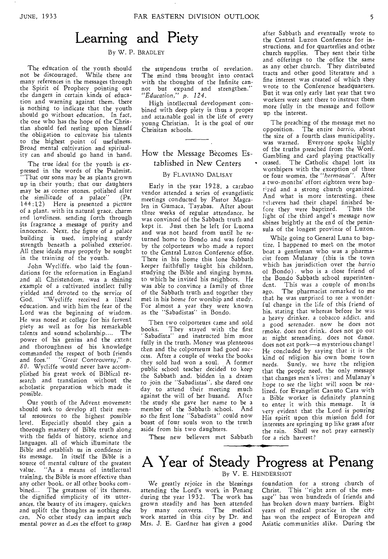## Learning and Piety

By W. P. BRADLEY

The education of the youth should not be discouraged. While there are many references in the messages through the Spirit of Prophecy pointing out the dangers in certain kinds of education and warning against them, there is nothing to indicate that the youth should go without education. In fact, the one who has the hope of the Christian should feel resting upon himself the obligation to cultivate his talents to the highest point of usefulness. Broad mental cultivation and spirivality can and should go hand in hand.

The true ideal for the youth is expressed in the words of the Psalmist, "That our sons may be as plants grown up in their youth; that our daughters may be as corner stones, polished after the similitude of a palace" (Ps. 144:12) Here is presented a picture of a plant, with its natural grace, charm and loveliness. sending forth through its fragrance a message of purity and innocence. Next, the figure of a palace building is used, implying sturdy strength beneath a polished exterior. All these ideals may properly be sought in the training of the youth.

John Wycliffe, who laid the foundations for the reformation in England and all Christendom, was a shining example of a cultivated intellect fully yielded and devoted to the service of God. "Wycliffe received a liberal education, and with him the fear of the Lord was the beginning of wisdom. He was noted at college for his fervent piety as well as for his remarkable talents and sound scholarship.... The power of his genius and the extent and thoroughness of his knowledge commanded the respect of both friends and foes." *"Great Controversy,"* p. *80.* Wycliffe would never have accomplished his great work of Biblical research and translation without the scholastic preparation which made it possible.

Our youth of the Advent movement should seek to develop all their mental resources to the highest possible level. Especially should they gain a thorough mastery of Bible truth along with the fields of history, science and languages, all of which illuminate the Bible and establish us in confidence in its message. In itself the Bible is a source of mental culture of the greatest value. "As a means of intellectual training, the Bible is more effective than any other book, or all other books combined... The greatness of its themes, the dignified simplicity of its utterances, the beauty of its imagery, quicken and uplift the thoughts as nothing else can. No other study can impart such mental power as *d \_,es* the effort to grasp

the stupendous truths of revelation. The mind thus brought into contact with the thoughts of the Infinite can-<br>not but expand and strengthen." *"Education," p. 124.* 

High intellectual development combined with deep piety is thus a proper and attainable goal in the life of every young Christian. It is the goal of our Chrisitan schools.

### How the Message Becomes Established in New Centers

### By FLAVIANO DALISAY

Early in the year 1928, a carabao vendor attended a series of evangelistic meetings conducted by Pastor Magcalen in Gumaca, Tayabas. After about three weeks of regular attendance, he was convinced of the Sabbath truth and kept it. Just then he left for Lucena and was not heard from until he returned home to Bondo and was found by the colporteurs who made a report to the Central Luzon Conference office. There in his home this lone Sabbath keeper faithfully taught his children, studying the Bible and singing hymns, to which he invited his neighbors. He was able to convince a family of three of the Sabbath truth and together they met in his home for worship and study. For almost a year they were known as the "Sabadistas" in Bondo.

Then two colporteurs came and sold books. They stayed with the first ' Sabadista" and instructed him more fully in the truth. Money was plenteous then and the colporteurs had good *success.* After a couple of weeks the books they sold had won a soul. A former public school teacher decided to keep the Sabbath and, bidden in a dream to join the "Sabadistas", she dared one day to attend their meeting much<br>against the will of her husand. After against the will of her husand. the study she gave her name to be a member of the Sabbath school. And so the first lone "Sabadista" could now boast of four souls won to the truth aside from his two daughters.

after Sabbath and eventually wrote to the Central Luzon Conference for instructions, and for quarterlies and other church supplies. They sent their tithe and offerings to the office the same as any other church. They distributed tracts and other good literature and a fine interest was created of which they wrote to the Conference headquarters. But it was only early last year that two workers were sent there to instruct them more fully in the message and follow up the interest.

The preaching of the message met no opposition. The entire *barrio,* about the size of a fourth class municipality, was warned. Everyone spoke highly of the truths preached from the Word. Gambling and card playing practically • ceased. The Catholic chapel lost its worshipers with the exception of three or four women, the *"herrnanas".* After a two-months' effort eighteen *were* baptized and a strong church organized. And what is more interesting, these t-ellevers had their chapel finished before they were baptized. Thus the light of the third angel's message now shines brightly at the end of the peninsula of the longest province of Luzon.

While going to General Luna to baptize, I happened to meet on the motor boat a gentleman who was a pharmacist from Mulanay (this is the town which has jurisdiction over the *barrio*  of Bondo) , who is a close friend of the Bondo Sabbath school superintendent. This was a couple of months ago. The pharmacist remarked to me that he was surprised to see a wonderful change in the life of this friend of his, stating that whereas before he was a heavy drinker. a tobacco addict, and a good serenader. now he does not smoke, does not drink, does not go out at night serenading, does not dance, does not eat pork—a mysterious changel He concluded by saying that it is the kind of religion his own home town needs. Surely, we have the religion that the people need, the only message that changes men's lives; and Mulanay's hope to see the light will soon be realized, for Evangelist Canuto Cara with a Bible worker is definitely planning to enter it with this message. It is very evident that the Lord is pouring His spirit upon this mission field for interests are springing up like grass after the rain. Shall we not pray earnestly for a rich harvest?

These new believers met Sabbath

### A Year of Steady Progress at Penang By V. E. HENDERSHOT

We greatly rejoice in the blessings attending the Lord's work in Penang during the year 1932. The work has grown steadily and has been attended by many converts. The medical work started in this city by Dr. and Mrs. J. E. Gardner has given a good

foundation for a strong church of Christ. This "right arm of the message" has won hundreds of friends and has broken down many barriers. Eight years of medical practice in the city has won the respect of European and Asiatic communities alike. During the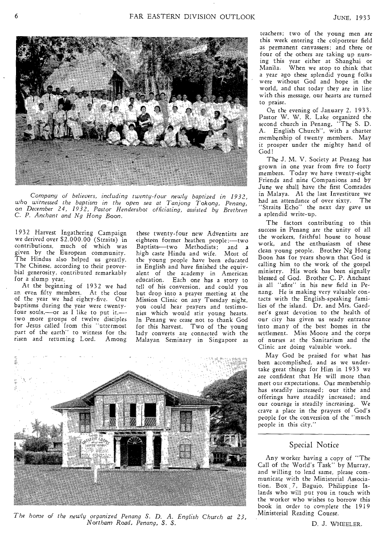

Company of *believers, including twenty-four newly baptized in 1932, who witnessed the baptism in the open sea at Tanjong Tokong, Penang,*  on *December 24, 1932, Pastor Hendershot officiating, assisted by Brethren*  C. *P. Anchant and Ng Hong Boon.* 

1932 Harvest Ingathering Campaign we derived over \$2,000.00 (Straits) in contributions, much of which was given by the European community. The Hindus also helped us greatly. The Chinese, according to their proverbial generosity, contributed remarkably for a slump year.

At the beginning of 1932 we had an even fifty members. At the close of the year we had eighty-five. Our baptisms during the year were twentyfour souls,—or as I like to put it,— $\overline{\phantom{a}}$ two more groups of twelve disciples for Jesus called from this "uttermost part of the earth" to witness for the risen and returning Lord. Among these twenty-four new Adventists are eighteen former heathen people:----two<br>Baptists----two Methodists; and a Baptists—two Methodists; high caste Hindu and wife. Most of the young people have been educated in English and have finished the equivalent of the academy in American education. Each one has a story to tell of his conversion, and could you but drop into a prayer meeting at the Mission Clinic on any Tuesday night, you could hear prayers and testimonies which would stir young hearts. In Penang we cease not to thank God for this harvest, Two of the young lady converts are connected with the Malayan Seminary in Singapore as



*The home of the newly organized Penang S. D. A. English Church at 23, Northam Road, Penang. S. S.* 

teachers; two of the young men are this week entering the colporteur field as permanent canvassers; and three or four of the others are taking up nursing this year either at Shanghai or Manila. When we stop to think that a year ago these splendid young folks were without God and hope in the world, and that today they are in line with this message, our hearts are turned to praise.

On the evening of January 2, 1933. Pastor W. W. R. Lake organized the second church in Penang, "The S. D. A. English Church", with a charter membership of twenty members. May it prosper under the mighty hand of God!

The J. M. V. Society at Penang has grown in one year from five to forty members. Today we have twenty-eight Friends and nine Companions and by June we shall have the first Comrades in Malaya. At the last Investiture we had an attendance of over sixty. The "Straits Echo" the next day gave us a splendid write-up.

The factors contributing to this success in Penang are the unity of all the workers, faithful house to house work, and the enthusiasm of these clean young people. Brother Ng Hong Boon has for years shown that God is calling him to the work of the gospel ministry. His work has been signally blessed of God. Brother C. P. Anchant is all "afire" in his new field in Penang. He is making very valuable contacts with the English-speaking families of the island. Dr. and Mrs. Gardner's great devotion to the health of our city has given us ready entrance into many of the best homes in the settlement. Miss Moore and the corps of nurses at the Sanitarium and the Clinic are doing valuable work.

May God be praised for what has been accomplished, and as we undertake great things for Him in 1933 we are confident that He will more than meet our expectations. Our membership has steadily increased; our tithe and offerings have steadily increased; and our courage is steadily increasing. We crave a place in the prayers of God's people for the conversion of the "much people in this city."

### Special Notice

Any worker having a copy of "The Call of the World's Task" by Murray, and willing to lend same, please communicate with the Ministerial Association, Box 7, Baguio, Philippine Islands who will put you in touch with the worker who wishes to borrow this book in order to complete the 1919 Ministerial Reading Course.

D. J. WHEELER.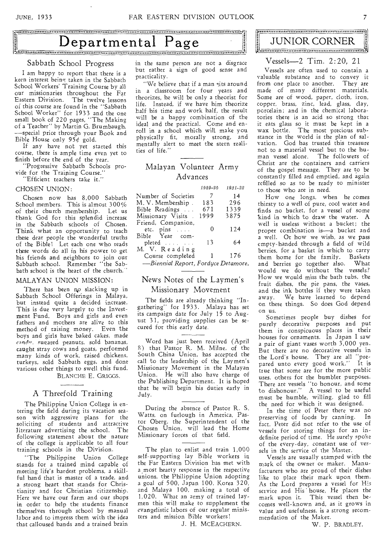## Departmental Page JUNIOR CORNER

### Sabbath School Progress

I am happy to report that there is a keen interest being taken in the Sabbath School Workers' Training Course by all our missionaries throughout the Far Eastern Division. The twelve lessons of this course are found in the "Sabbath School Worker" for 1933 and the one small book of 220 pages, "The Making of a Teacher" by Martin G. Brumbaugh, —special price through your Book and Bible House only  $95\phi$  gold.

If any have not yet started this course, there is ample time even yet to finish before the end of the year.

"Progressive Sabbath Schools provide for the Training Course."

"Efficient teachers take it."

### CHOSEN UNION:

Chosen now has 8,000 Sabbath School members. This is almost 300% of their church membership. Let us thank God for this splendid increase in the Sabbath schools of Chosen. Think what an opportunity to teach these dear people the wonderful truths of the Bible! Let each one who reads these words do all in his power to get his friends and neighbors to join our Sabbath school. Remember "the Sabbath school is the heart of the church.

### MALAYAN UNION MISSION:

There has been no slacking up in Sabbath School Offerings in Malaya, but instead quite a decided increase. This is due very largely to the Investment Fund. Boys and girls and even fathers and mothers are alive to this method of raising money. Even the boys and girls have baked cakes, made rand'. sugared peanuts, sold bananas, caught stray cows and goats, performed many kinds of work, raised chickens, turkeys, sold Sabbath eggs, and done various other things to swell this fund. BLANCHE E. GRIGGS.

### A Threefold Training

The Philippine Union College is entering the field during its vacation season with aggressive plans for the soliciting of students and attractive literature advertising the school. The following statement about the nature of the college is applicable to all four training schools in the Division.

"The Philippine Union College stands for a trained mind capable of meeting life's hardest problems, a skillful hand that is master of a trade, and a strong heart that stands for Christianity and for Christian citizenship. Here we have our farm and our shops in order to help the students finance themselves through school by manual labor and to impress them with the idea that calloused hands and a trained brain

in the same person are not a disgrace but rather a sign of good sense and practicality.

"We believe that if a man sits around in a classroom for four years and theorizes, he will be only a theorist for life. Instead, if we have him theorize half his time and work half, the result will be a happy combination of the ideal and the practical. Come and enroll in a school which will make you physically fit, morally strong, and mentally alert to meet the stern realities of life."

### Malayan Volunteer Army Advances

|                                     | 1929-30 | 1931-32 |  |
|-------------------------------------|---------|---------|--|
| Number of Societies                 | - 7     | 14      |  |
| M. V. Membership .                  | 183     | 296     |  |
| Bible Readings                      | 671     | 1339    |  |
| Missionary Visits.                  | 1999    | 3875    |  |
| Friend, Companion,                  |         |         |  |
| $etc. \text{ pins} \dots$           | 0       | 124     |  |
| Bible Year com-                     |         |         |  |
| pleted                              | 13      | 64      |  |
| M. V. Reading                       |         |         |  |
| Course completed                    | 1       | 176     |  |
| -Biennial Report, Fordyce Detamore. |         |         |  |

### News Notes of the Laymen's Missionary Movement

The fields are already thinking "Ingathering" for 1933. Malaya has set its campaign date for July 15 to August 31, providing supplies can be secured for this early date.

Word has just been received (April 8) that Pastor R. M. Milne, of the South China Union, has accepted the call to the leadership of the Laymen's Missionary Movement in the Malayan Union. He will also have charge of the Publishing Department. It is hoped that he will begin his duties early in July.

During the absence of Pastor R. S. Watts, on furlough in America, Pastor Oberg, the Superintendent of the Chosen Union, will lead the Home Missionary forces of that field.

The plan to enlist and train 1,000 self-supporting lay Bible workers in the Far Eastern Division has met with a most hearty response in the respective unions, the Philippine Union adopting a goal of 500, Japan 100, Korea 320, and Malaya 100, making a total of 1,020. What an army of trained laymen this will make to supplement the evangelistic labors of our regular ministers and mission Bible workers!

J. H. MCEACHERN.

### Vessels--2 Tim. 2:20, 21

Vessels are often used to contain a valuable substance and to convey it from one place to another. They are made of many different materials. Some are of wood, paper, cloth, iron, copper, brass, zinc, lead, glass, clay, porcelain; and in the chemical laboratories there is an acid so strong that it eats glass so it must be kept in a wax bottle. The most precious substance in the world is the plan of salvation. God has trusted this treasure not to a material vessel but to the human vessel alone. The followers of Christ are the containers and carriers of the gospel message. They are to be constantly filled and emptied, and again refilled so as to be ready to minister to those who are in need.

How one longs, when he comes thirsty to a well of pure, cool water and finds no bucket, for a vessel of some kind in which to draw the water. A well is useless without a bucket; the proper combination is—a bucket and a well. Or how we wish, as we pass empty-handed through a field of wild berries, for a basket in which to carry them home for the family. Baskets<br>and berries go together also. What and berries go together also. would we do without the vessels? How we would miss the bath tubs, the fruit dishes, the pie pans, the vases, and the ink bottles if they were taken away. We have learned to depend on these things. So does God depend on us.

Sometimes people buy dishes for purely decorative purposes and put them in conspicuous places in their houses for ornaments. In Japan I saw a pair of giant vases worth 3,000 yen. But there are no decorative vessels in the Lord's house. They are all "prepared unto every good work." It is true that some are for the more public uses, others for the humbler purposes. There are vessels "to honour, and some to dishonour." A vessel to be useful must be humble, willing, glad to fill the need for which it was designed.

In the time of Peter there was no preserving of foods by canning. In fact, Peter did not refer to the use of vessels for storing things for an indefinite period of time. He surely spoke of the every-day, constant use of vessels in the service of the Master.

Vessels are usually stamped with the mark of the owner or maker. Manufacturers who are proud of their dishes like to place their mark upon them. As the Lord prepares a vessel for His service and His house, He places the mark upon it. This vessel then becomes well-known and, as it grows in value and usefulness, is a strong recommendation of the Maker.

W. P. BRADLEY.